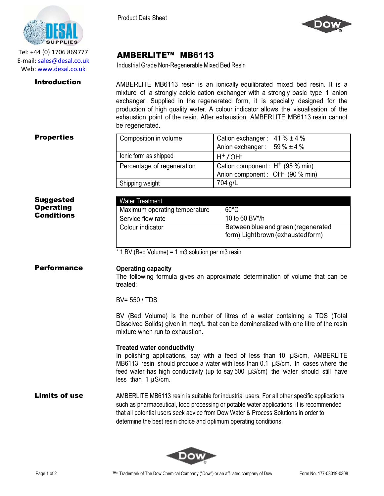AMBERLITE™ MB6113

Industrial Grade Non-Regenerable Mixed Bed Resin



Tel: +44 (0) 1706 869777 E‐mail: sales@desal.co.uk Web: www.desal.co.uk

**Introduction** AMBERLITE MB6113 resin is an ionically equilibrated mixed bed resin. It is a mixture of a strongly acidic cation exchanger with a strongly basic type 1 anion exchanger. Supplied in the regenerated form, it is specially designed for the production of high quality water. A colour indicator allows the visualisation of the exhaustion point of the resin. After exhaustion, AMBERLITE MB6113 resin cannot be regenerated

| <b>Properties</b> | Composition in volume      | Cation exchanger: $41\% \pm 4\%$             |
|-------------------|----------------------------|----------------------------------------------|
|                   |                            | Anion exchanger: $59\% \pm 4\%$              |
|                   | lonic form as shipped      | $H^+$ / OH $\overline{ }$                    |
|                   | Percentage of regeneration | Cation component : $H^+$ (95 % min)          |
|                   |                            | Anion component : OH <sup>-</sup> (90 % min) |
|                   | Shipping weight            | 704 g/L                                      |

| <b>Suggested</b> |
|------------------|
| <b>Operating</b> |
| Conditions       |

| Water Treatment               |                                                                          |
|-------------------------------|--------------------------------------------------------------------------|
| Maximum operating temperature | $60^{\circ}$ C                                                           |
| Service flow rate             | 10 to 60 BV*/h                                                           |
| Colour indicator              | Between blue and green (regenerated<br>form) Lightbrown (exhausted form) |

\* 1 BV (Bed Volume) = 1 m3 solution per m3 resin

# Performance **Operating capacity**

The following formula gives an approximate determination of volume that can be treated:

BV= 550 / TDS

BV (Bed Volume) is the number of litres of a water containing a TDS (Total Dissolved Solids) given in meq/L that can be demineralized with one litre of the resin mixture when run to exhaustion.

## **Treated water conductivity**

In polishing applications, say with a feed of less than 10 µS/cm, AMBERLITE MB6113 resin should produce a water with less than  $0.1 \mu S/cm$ . In cases where the feed water has high conductivity (up to say 500  $\mu$ S/cm) the water should still have less than 1 µS/cm.

## **Limits of use** AMBERLITE MB6113 resin is suitable for industrial users. For all other specific applications such as pharmaceutical, food processing or potable water applications, it is recommended that all potential users seek advice from Dow Water & Process Solutions in order to determine the best resin choice and optimum operating conditions.